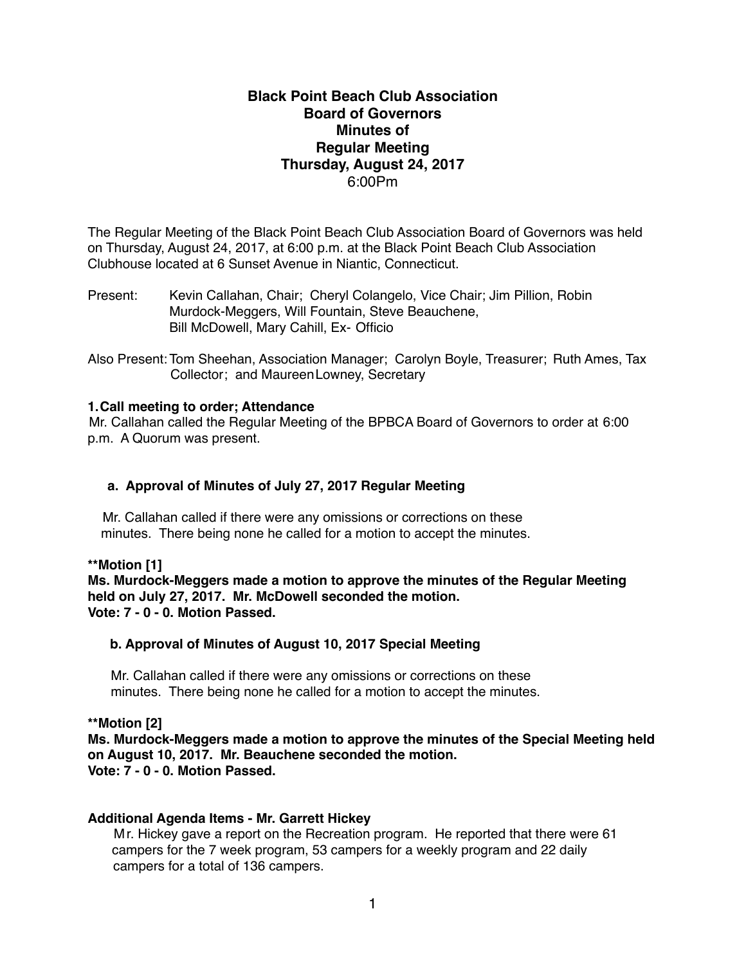# **Black Point Beach Club Association Board of Governors Minutes of Regular Meeting Thursday, August 24, 2017** 6:00Pm

The Regular Meeting of the Black Point Beach Club Association Board of Governors was held on Thursday, August 24, 2017, at 6:00 p.m. at the Black Point Beach Club Association Clubhouse located at 6 Sunset Avenue in Niantic, Connecticut.

Present: Kevin Callahan, Chair; Cheryl Colangelo, Vice Chair; Jim Pillion, Robin Murdock-Meggers, Will Fountain, Steve Beauchene, Bill McDowell, Mary Cahill, Ex- Officio

Also Present: Tom Sheehan, Association Manager; Carolyn Boyle, Treasurer; Ruth Ames, Tax Collector; and MaureenLowney, Secretary

#### **1.Call meeting to order; Attendance**

Mr. Callahan called the Regular Meeting of the BPBCA Board of Governors to order at 6:00 p.m. A Quorum was present.

# **a. Approval of Minutes of July 27, 2017 Regular Meeting**

Mr. Callahan called if there were any omissions or corrections on these minutes. There being none he called for a motion to accept the minutes.

#### **\*\*Motion [1]**

**Ms. Murdock-Meggers made a motion to approve the minutes of the Regular Meeting held on July 27, 2017. Mr. McDowell seconded the motion. Vote: 7 - 0 - 0. Motion Passed.**

#### **b. Approval of Minutes of August 10, 2017 Special Meeting**

Mr. Callahan called if there were any omissions or corrections on these minutes. There being none he called for a motion to accept the minutes.

**\*\*Motion [2]**

**Ms. Murdock-Meggers made a motion to approve the minutes of the Special Meeting held on August 10, 2017. Mr. Beauchene seconded the motion. Vote: 7 - 0 - 0. Motion Passed.**

# **Additional Agenda Items - Mr. Garrett Hickey**

Mr. Hickey gave a report on the Recreation program. He reported that there were 61 campers for the 7 week program, 53 campers for a weekly program and 22 daily campers for a total of 136 campers.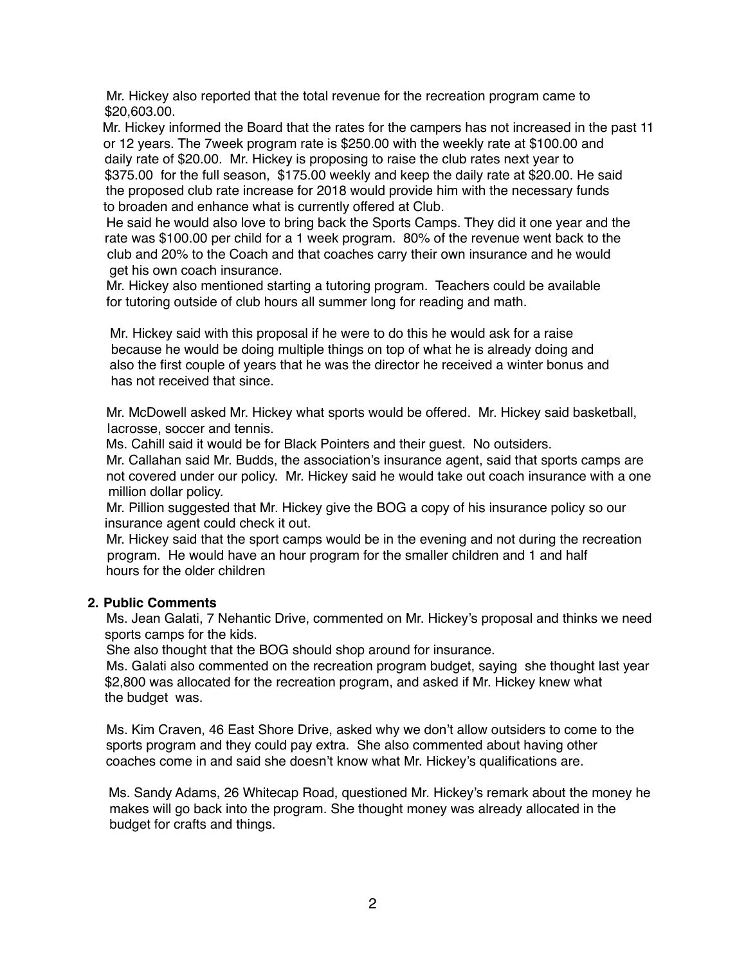Mr. Hickey also reported that the total revenue for the recreation program came to \$20,603.00.

 Mr. Hickey informed the Board that the rates for the campers has not increased in the past 11 or 12 years. The 7week program rate is \$250.00 with the weekly rate at \$100.00 and daily rate of \$20.00. Mr. Hickey is proposing to raise the club rates next year to \$375.00 for the full season, \$175.00 weekly and keep the daily rate at \$20.00. He said the proposed club rate increase for 2018 would provide him with the necessary funds to broaden and enhance what is currently offered at Club.

 He said he would also love to bring back the Sports Camps. They did it one year and the rate was \$100.00 per child for a 1 week program. 80% of the revenue went back to the club and 20% to the Coach and that coaches carry their own insurance and he would get his own coach insurance.

 Mr. Hickey also mentioned starting a tutoring program. Teachers could be available for tutoring outside of club hours all summer long for reading and math.

 Mr. Hickey said with this proposal if he were to do this he would ask for a raise because he would be doing multiple things on top of what he is already doing and also the first couple of years that he was the director he received a winter bonus and has not received that since.

 Mr. McDowell asked Mr. Hickey what sports would be offered. Mr. Hickey said basketball, lacrosse, soccer and tennis.

Ms. Cahill said it would be for Black Pointers and their guest. No outsiders.

 Mr. Callahan said Mr. Budds, the association's insurance agent, said that sports camps are not covered under our policy. Mr. Hickey said he would take out coach insurance with a one million dollar policy.

 Mr. Pillion suggested that Mr. Hickey give the BOG a copy of his insurance policy so our insurance agent could check it out.

 Mr. Hickey said that the sport camps would be in the evening and not during the recreation program. He would have an hour program for the smaller children and 1 and half hours for the older children

# **2. Public Comments**

Ms. Jean Galati, 7 Nehantic Drive, commented on Mr. Hickey's proposal and thinks we need sports camps for the kids.

She also thought that the BOG should shop around for insurance.

 Ms. Galati also commented on the recreation program budget, saying she thought last year \$2,800 was allocated for the recreation program, and asked if Mr. Hickey knew what the budget was.

 Ms. Kim Craven, 46 East Shore Drive, asked why we don't allow outsiders to come to the sports program and they could pay extra. She also commented about having other coaches come in and said she doesn't know what Mr. Hickey's qualifications are.

 Ms. Sandy Adams, 26 Whitecap Road, questioned Mr. Hickey's remark about the money he makes will go back into the program. She thought money was already allocated in the budget for crafts and things.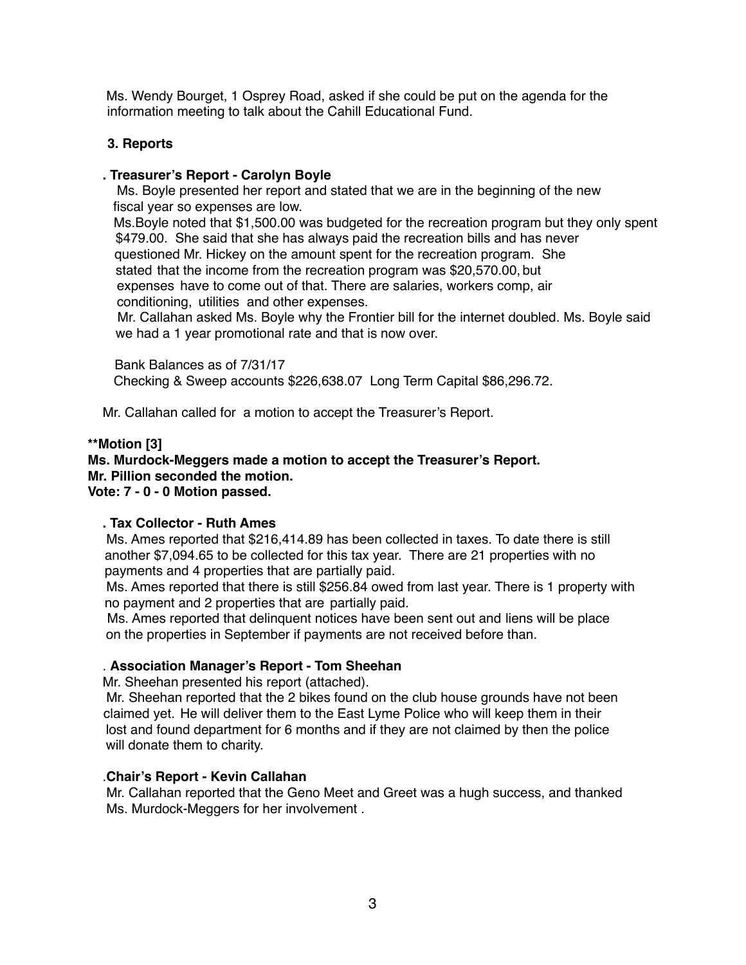Ms. Wendy Bourget, 1 Osprey Road, asked if she could be put on the agenda for the information meeting to talk about the Cahill Educational Fund.

# **3. Reports**

## **. Treasurer's Report - Carolyn Boyle**

Ms. Boyle presented her report and stated that we are in the beginning of the new fiscal year so expenses are low.

 Ms.Boyle noted that \$1,500.00 was budgeted for the recreation program but they only spent \$479.00. She said that she has always paid the recreation bills and has never questioned Mr. Hickey on the amount spent for the recreation program. She stated that the income from the recreation program was \$20,570.00, but expenses have to come out of that. There are salaries, workers comp, air conditioning, utilities and other expenses.

 Mr. Callahan asked Ms. Boyle why the Frontier bill for the internet doubled. Ms. Boyle said we had a 1 year promotional rate and that is now over.

 Bank Balances as of 7/31/17 Checking & Sweep accounts \$226,638.07 Long Term Capital \$86,296.72.

Mr. Callahan called for a motion to accept the Treasurer's Report.

#### **\*\*Motion [3]**

#### **Ms. Murdock-Meggers made a motion to accept the Treasurer's Report. Mr. Pillion seconded the motion. Vote: 7 - 0 - 0 Motion passed.**

# **. Tax Collector - Ruth Ames**

Ms. Ames reported that \$216,414.89 has been collected in taxes. To date there is still another \$7,094.65 to be collected for this tax year. There are 21 properties with no payments and 4 properties that are partially paid.

Ms. Ames reported that there is still \$256.84 owed from last year. There is 1 property with no payment and 2 properties that are partially paid.

 Ms. Ames reported that delinquent notices have been sent out and liens will be place on the properties in September if payments are not received before than.

# . **Association Manager's Report - Tom Sheehan**

Mr. Sheehan presented his report (attached).

 Mr. Sheehan reported that the 2 bikes found on the club house grounds have not been claimed yet. He will deliver them to the East Lyme Police who will keep them in their lost and found department for 6 months and if they are not claimed by then the police will donate them to charity.

#### .**Chair's Report - Kevin Callahan**

Mr. Callahan reported that the Geno Meet and Greet was a hugh success, and thanked Ms. Murdock-Meggers for her involvement .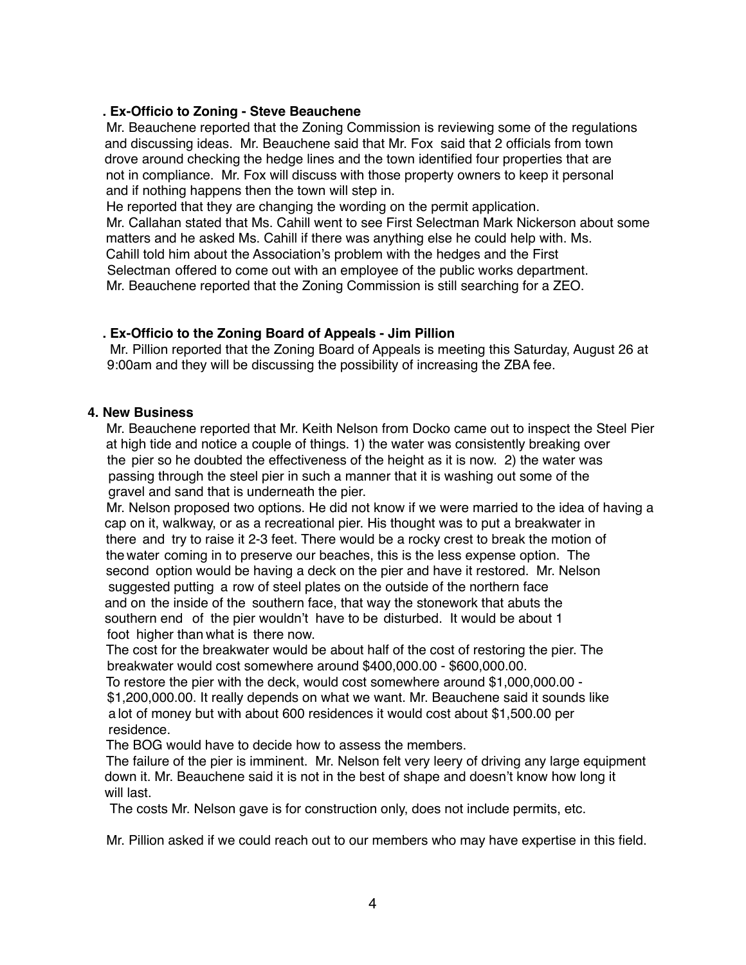## **. Ex-Officio to Zoning - Steve Beauchene**

 Mr. Beauchene reported that the Zoning Commission is reviewing some of the regulations and discussing ideas. Mr. Beauchene said that Mr. Fox said that 2 officials from town drove around checking the hedge lines and the town identified four properties that are not in compliance. Mr. Fox will discuss with those property owners to keep it personal and if nothing happens then the town will step in.

He reported that they are changing the wording on the permit application.

 Mr. Callahan stated that Ms. Cahill went to see First Selectman Mark Nickerson about some matters and he asked Ms. Cahill if there was anything else he could help with. Ms. Cahill told him about the Association's problem with the hedges and the First Selectman offered to come out with an employee of the public works department. Mr. Beauchene reported that the Zoning Commission is still searching for a ZEO.

# **. Ex-Officio to the Zoning Board of Appeals - Jim Pillion**

Mr. Pillion reported that the Zoning Board of Appeals is meeting this Saturday, August 26 at 9:00am and they will be discussing the possibility of increasing the ZBA fee.

#### **4. New Business**

Mr. Beauchene reported that Mr. Keith Nelson from Docko came out to inspect the Steel Pier at high tide and notice a couple of things. 1) the water was consistently breaking over the pier so he doubted the effectiveness of the height as it is now. 2) the water was passing through the steel pier in such a manner that it is washing out some of the gravel and sand that is underneath the pier.

 Mr. Nelson proposed two options. He did not know if we were married to the idea of having a cap on it, walkway, or as a recreational pier. His thought was to put a breakwater in there and try to raise it 2-3 feet. There would be a rocky crest to break the motion of the water coming in to preserve our beaches, this is the less expense option. The second option would be having a deck on the pier and have it restored. Mr. Nelson suggested putting a row of steel plates on the outside of the northern face and on the inside of the southern face, that way the stonework that abuts the southern end of the pier wouldn't have to be disturbed. It would be about 1 foot higher than what is there now.

 The cost for the breakwater would be about half of the cost of restoring the pier. The breakwater would cost somewhere around \$400,000.00 - \$600,000.00.

 To restore the pier with the deck, would cost somewhere around \$1,000,000.00 - \$1,200,000.00. It really depends on what we want. Mr. Beauchene said it sounds like a lot of money but with about 600 residences it would cost about \$1,500.00 per residence.

The BOG would have to decide how to assess the members.

 The failure of the pier is imminent. Mr. Nelson felt very leery of driving any large equipment down it. Mr. Beauchene said it is not in the best of shape and doesn't know how long it will last.

The costs Mr. Nelson gave is for construction only, does not include permits, etc.

Mr. Pillion asked if we could reach out to our members who may have expertise in this field.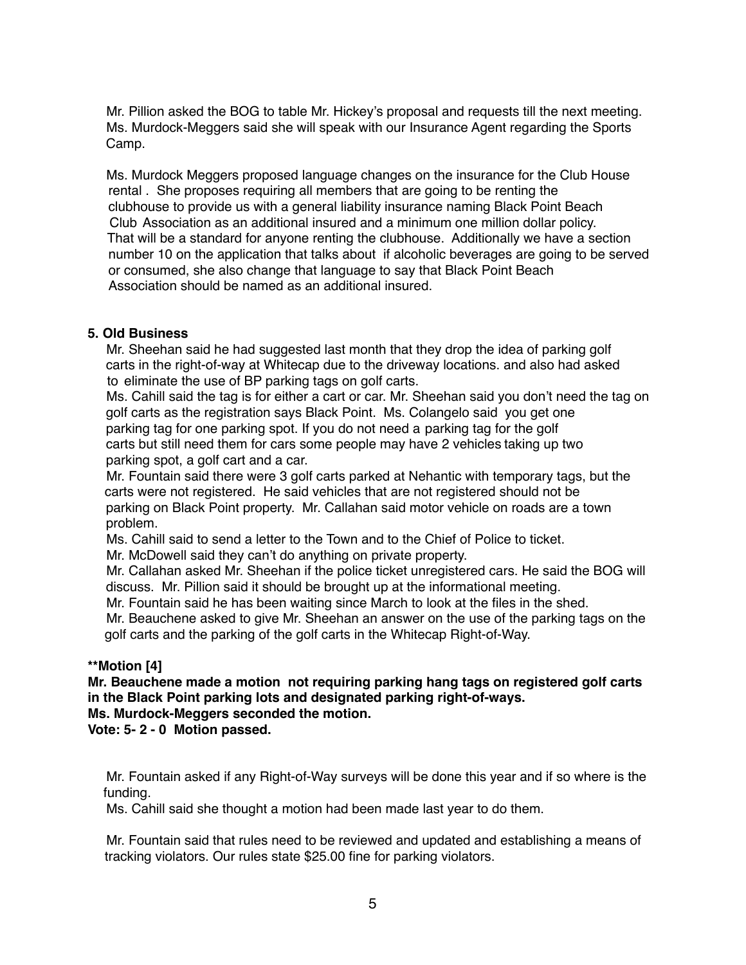Mr. Pillion asked the BOG to table Mr. Hickey's proposal and requests till the next meeting. Ms. Murdock-Meggers said she will speak with our Insurance Agent regarding the Sports Camp.

 Ms. Murdock Meggers proposed language changes on the insurance for the Club House rental . She proposes requiring all members that are going to be renting the clubhouse to provide us with a general liability insurance naming Black Point Beach Club Association as an additional insured and a minimum one million dollar policy. That will be a standard for anyone renting the clubhouse. Additionally we have a section number 10 on the application that talks about if alcoholic beverages are going to be served or consumed, she also change that language to say that Black Point Beach Association should be named as an additional insured.

# **5. Old Business**

Mr. Sheehan said he had suggested last month that they drop the idea of parking golf carts in the right-of-way at Whitecap due to the driveway locations. and also had asked to eliminate the use of BP parking tags on golf carts.

 Ms. Cahill said the tag is for either a cart or car. Mr. Sheehan said you don't need the tag on golf carts as the registration says Black Point. Ms. Colangelo said you get one parking tag for one parking spot. If you do not need a parking tag for the golf carts but still need them for cars some people may have 2 vehicles taking up two parking spot, a golf cart and a car.

 Mr. Fountain said there were 3 golf carts parked at Nehantic with temporary tags, but the carts were not registered. He said vehicles that are not registered should not be parking on Black Point property. Mr. Callahan said motor vehicle on roads are a town problem.

Ms. Cahill said to send a letter to the Town and to the Chief of Police to ticket.

Mr. McDowell said they can't do anything on private property.

 Mr. Callahan asked Mr. Sheehan if the police ticket unregistered cars. He said the BOG will discuss. Mr. Pillion said it should be brought up at the informational meeting.

Mr. Fountain said he has been waiting since March to look at the files in the shed.

 Mr. Beauchene asked to give Mr. Sheehan an answer on the use of the parking tags on the golf carts and the parking of the golf carts in the Whitecap Right-of-Way.

# **\*\*Motion [4]**

**Mr. Beauchene made a motion not requiring parking hang tags on registered golf carts in the Black Point parking lots and designated parking right-of-ways. Ms. Murdock-Meggers seconded the motion.**

**Vote: 5- 2 - 0 Motion passed.**

 Mr. Fountain asked if any Right-of-Way surveys will be done this year and if so where is the funding.

Ms. Cahill said she thought a motion had been made last year to do them.

 Mr. Fountain said that rules need to be reviewed and updated and establishing a means of tracking violators. Our rules state \$25.00 fine for parking violators.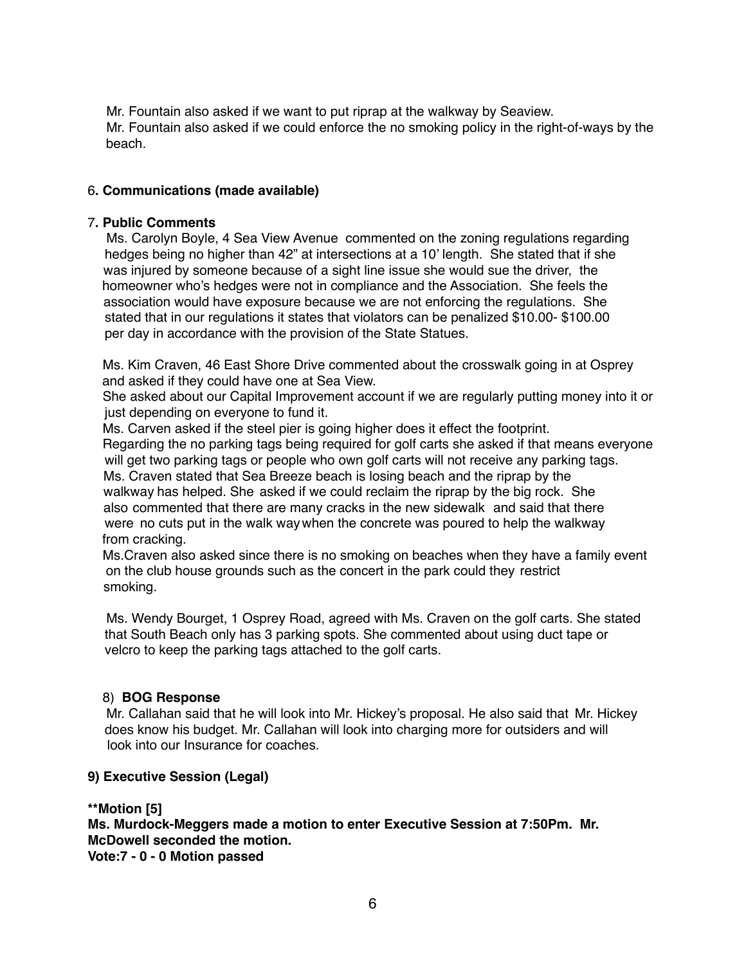Mr. Fountain also asked if we want to put riprap at the walkway by Seaview. Mr. Fountain also asked if we could enforce the no smoking policy in the right-of-ways by the beach.

# 6**. Communications (made available)**

#### 7**. Public Comments**

Ms. Carolyn Boyle, 4 Sea View Avenue commented on the zoning regulations regarding hedges being no higher than 42" at intersections at a 10' length. She stated that if she was injured by someone because of a sight line issue she would sue the driver, the homeowner who's hedges were not in compliance and the Association. She feels the association would have exposure because we are not enforcing the regulations. She stated that in our regulations it states that violators can be penalized \$10.00- \$100.00 per day in accordance with the provision of the State Statues.

 Ms. Kim Craven, 46 East Shore Drive commented about the crosswalk going in at Osprey and asked if they could have one at Sea View.

 She asked about our Capital Improvement account if we are regularly putting money into it or just depending on everyone to fund it.

 Ms. Carven asked if the steel pier is going higher does it effect the footprint. Regarding the no parking tags being required for golf carts she asked if that means everyone will get two parking tags or people who own golf carts will not receive any parking tags. Ms. Craven stated that Sea Breeze beach is losing beach and the riprap by the walkway has helped. She asked if we could reclaim the riprap by the big rock. She also commented that there are many cracks in the new sidewalk and said that there were no cuts put in the walk way when the concrete was poured to help the walkway from cracking.

 Ms.Craven also asked since there is no smoking on beaches when they have a family event on the club house grounds such as the concert in the park could they restrict smoking.

 Ms. Wendy Bourget, 1 Osprey Road, agreed with Ms. Craven on the golf carts. She stated that South Beach only has 3 parking spots. She commented about using duct tape or velcro to keep the parking tags attached to the golf carts.

# 8) **BOG Response**

Mr. Callahan said that he will look into Mr. Hickey's proposal. He also said that Mr. Hickey does know his budget. Mr. Callahan will look into charging more for outsiders and will look into our Insurance for coaches.

# **9) Executive Session (Legal)**

**\*\*Motion [5] Ms. Murdock-Meggers made a motion to enter Executive Session at 7:50Pm. Mr. McDowell seconded the motion. Vote:7 - 0 - 0 Motion passed**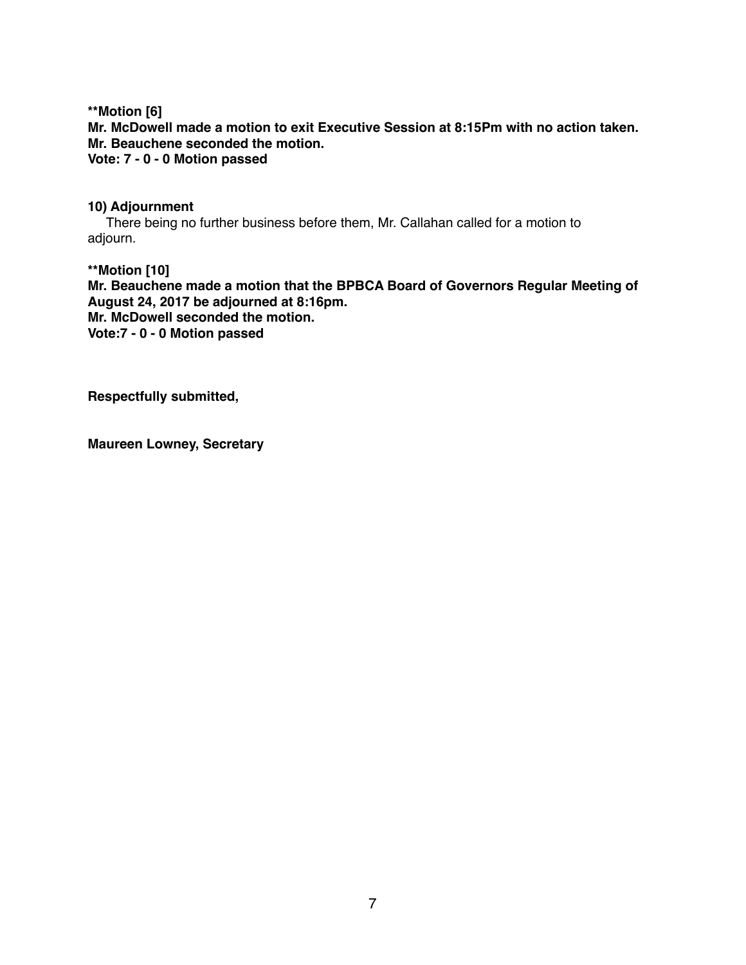**\*\*Motion [6] Mr. McDowell made a motion to exit Executive Session at 8:15Pm with no action taken. Mr. Beauchene seconded the motion. Vote: 7 - 0 - 0 Motion passed**

#### **10) Adjournment**

There being no further business before them, Mr. Callahan called for a motion to adjourn.

**\*\*Motion [10] Mr. Beauchene made a motion that the BPBCA Board of Governors Regular Meeting of August 24, 2017 be adjourned at 8:16pm. Mr. McDowell seconded the motion. Vote:7 - 0 - 0 Motion passed**

**Respectfully submitted,**

**Maureen Lowney, Secretary**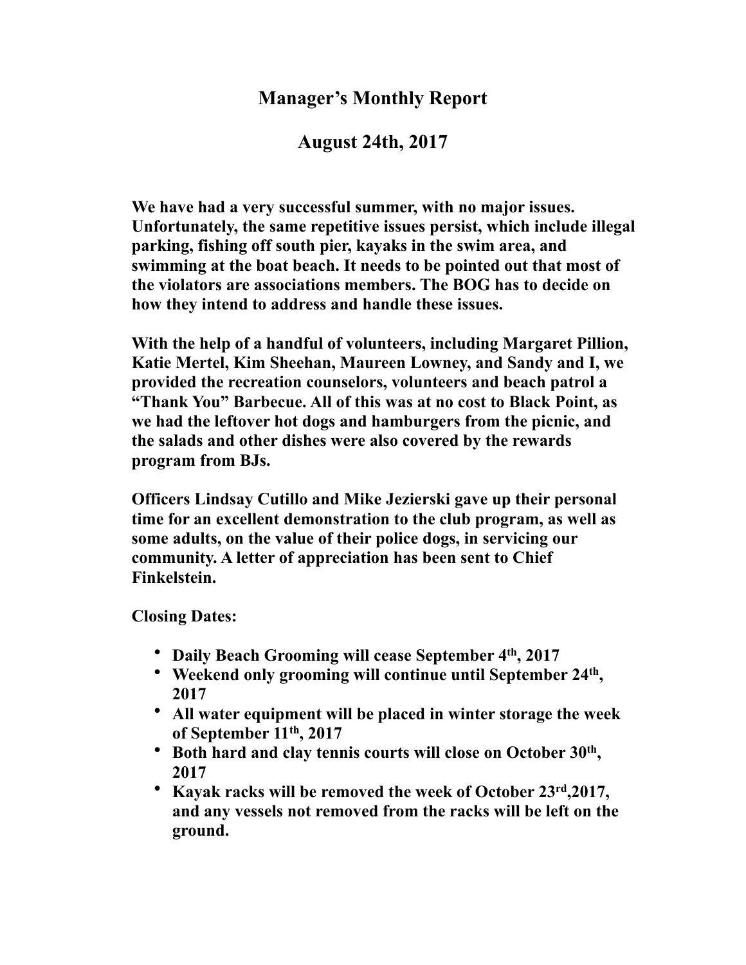# **Manager's Monthly Report**

**August 24th, 2017**

**We have had a very successful summer, with no major issues. Unfortunately, the same repetitive issues persist, which include illegal parking, fishing off south pier, kayaks in the swim area, and swimming at the boat beach. It needs to be pointed out that most of the violators are associations members. The BOG has to decide on how they intend to address and handle these issues.**

**With the help of a handful of volunteers, including Margaret Pillion, Katie Mertel, Kim Sheehan, Maureen Lowney, and Sandy and I, we provided the recreation counselors, volunteers and beach patrol a "Thank You" Barbecue. All of this was at no cost to Black Point, as we had the leftover hot dogs and hamburgers from the picnic, and the salads and other dishes were also covered by the rewards program from BJs.**

**Officers Lindsay Cutillo and Mike Jezierski gave up their personal time for an excellent demonstration to the club program, as well as some adults, on the value of their police dogs, in servicing our community. A letter of appreciation has been sent to Chief Finkelstein.**

**Closing Dates:**

- **Daily Beach Grooming will cease September 4th, 2017**
- **Weekend only grooming will continue until September 24th , 2017**
- **All water equipment will be placed in winter storage the week of September 11th, 2017**
- **Both hard and clay tennis courts will close on October 30th , 2017**
- **Kayak racks will be removed the week of October 23rd,2017, and any vessels not removed from the racks will be left on the ground.**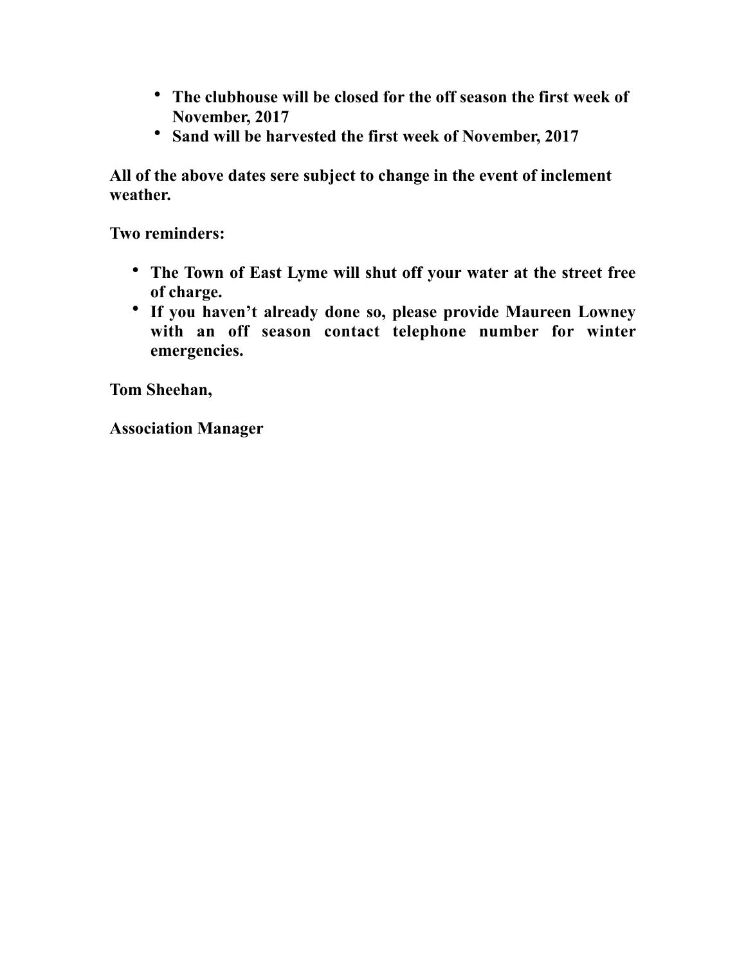- **The clubhouse will be closed for the off season the first week of November, 2017**
- **Sand will be harvested the first week of November, 2017**

**All of the above dates sere subject to change in the event of inclement weather.**

**Two reminders:**

- **The Town of East Lyme will shut off your water at the street free of charge.**
- **If you haven't already done so, please provide Maureen Lowney with an off season contact telephone number for winter emergencies.**

**Tom Sheehan,**

**Association Manager**